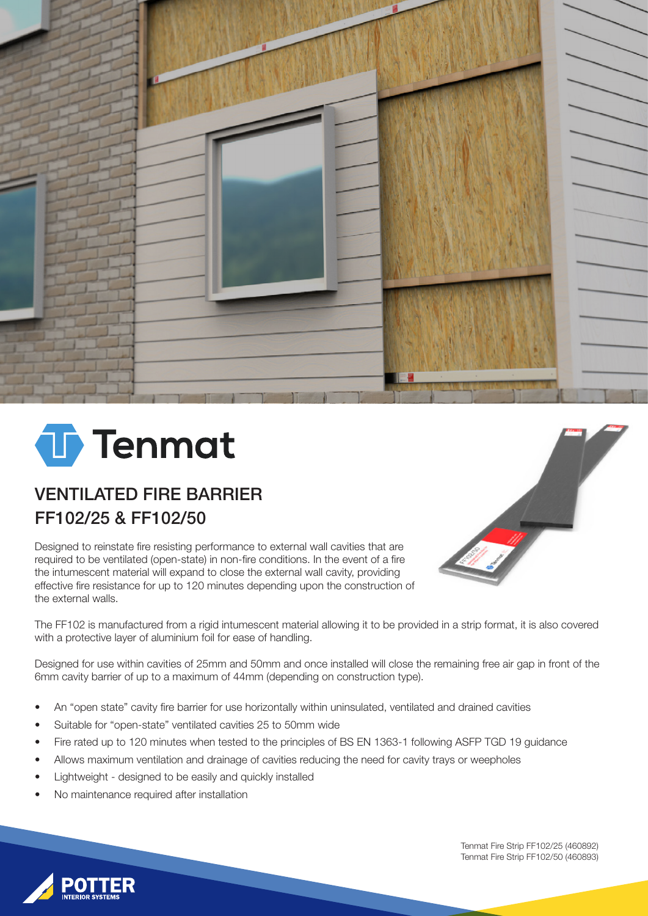

# **T**enmat

## VENTILATED FIRE BARRIER FF102/25 & FF102/50

Designed to reinstate fire resisting performance to external wall cavities that are required to be ventilated (open-state) in non-fire conditions. In the event of a fire the intumescent material will expand to close the external wall cavity, providing effective fire resistance for up to 120 minutes depending upon the construction of the external walls.



The FF102 is manufactured from a rigid intumescent material allowing it to be provided in a strip format, it is also covered with a protective layer of aluminium foil for ease of handling.

Designed for use within cavities of 25mm and 50mm and once installed will close the remaining free air gap in front of the 6mm cavity barrier of up to a maximum of 44mm (depending on construction type).

- An "open state" cavity fire barrier for use horizontally within uninsulated, ventilated and drained cavities
- Suitable for "open-state" ventilated cavities 25 to 50mm wide
- Fire rated up to 120 minutes when tested to the principles of BS EN 1363-1 following ASFP TGD 19 guidance
- Allows maximum ventilation and drainage of cavities reducing the need for cavity trays or weepholes
- Lightweight designed to be easily and quickly installed
- No maintenance required after installation

Tenmat Fire Strip FF102/25 (460892) Tenmat Fire Strip FF102/50 (460893)